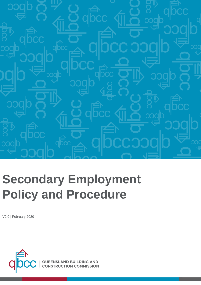

# **Secondary Employment Policy and Procedure**

V2.0 | February 2020

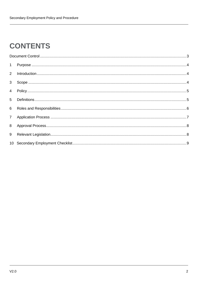#### **CONTENTS**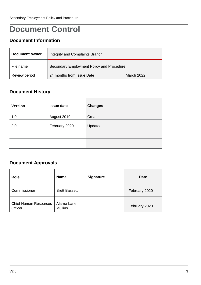#### <span id="page-2-0"></span>**Document Control**

#### **Document Information**

| Document owner | Integrity and Complaints Branch           |            |
|----------------|-------------------------------------------|------------|
| File name      | Secondary Employment Policy and Procedure |            |
| Review period  | 24 months from Issue Date                 | March 2022 |

#### **Document History**

| <b>Version</b> | <b>Issue date</b> | <b>Changes</b> |
|----------------|-------------------|----------------|
| 1.0            | August 2019       | Created        |
| 2.0            | February 2020     | Updated        |
|                |                   |                |
|                |                   |                |

#### **Document Approvals**

| <b>Role</b>                             | <b>Name</b>                    | <b>Signature</b> | <b>Date</b>   |
|-----------------------------------------|--------------------------------|------------------|---------------|
| Commissioner                            | <b>Brett Bassett</b>           |                  | February 2020 |
| <b>Chief Human Resources</b><br>Officer | Alarna Lane-<br><b>Mullins</b> |                  | February 2020 |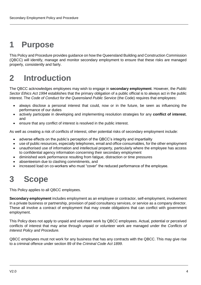### <span id="page-3-0"></span>**1 Purpose**

This Policy and Procedure provides guidance on how the Queensland Building and Construction Commission (QBCC) will identify, manage and monitor secondary employment to ensure that these risks are managed properly, consistently and fairly.

### <span id="page-3-1"></span>**2 Introduction**

The QBCC acknowledges employees may wish to engage in **secondary employment**. However, the *Public Sector Ethics Act 1994* establishes that the primary obligation of a public official is to always act in the public interest. The *Code of Conduct for the Queensland Public Service* (the Code) requires that employees:

- always disclose a personal interest that could, now or in the future, be seen as influencing the performance of our duties
- actively participate in developing and implementing resolution strategies for any **conflict of interest**, and
- ensure that any conflict of interest is resolved in the public interest.

As well as creating a risk of conflicts of interest, other potential risks of secondary employment include:

- adverse effects on the public's perception of the QBCC's integrity and impartiality
- use of public resources, especially telephones, email and office consumables, for the other employment
- unauthorised use of information and intellectual property, particularly where the employee has access to confidential agency information concerning their secondary employment
- diminished work performance resulting from fatigue, distraction or time pressures
- absenteeism due to clashing commitments, and
- <span id="page-3-2"></span>increased load on co-workers who must "cover" the reduced performance of the employee.

#### **3 Scope**

This Policy applies to all QBCC employees.

**Secondary employment** includes employment as an employee or contractor, self-employment, involvement in a private business or partnership, provision of paid consultancy services, or service as a company director. These all involve a contract of employment that may create obligations that can conflict with government employment.

This Policy does not apply to unpaid and volunteer work by QBCC employees. Actual, potential or perceived conflicts of interest that may arise through unpaid or volunteer work are managed under the *Conflicts of Interest Policy and Procedure.*

QBCC employees must not work for any business that has any contracts with the QBCC. This may give rise to a criminal offence under section 89 of the *Criminal Code Act 1899*.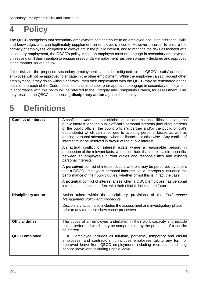#### <span id="page-4-0"></span>**4 Policy**

The QBCC recognises that secondary employment can contribute to an employee acquiring additional skills and knowledge, and can legitimately supplement an employee's income. However, in order to ensure the primacy of employees' obligation to always act in the public interest, and to manage the risks associated with secondary employment, the QBCC's policy is that an employee must not engage in secondary employment unless and until their intention to engage in secondary employment has been properly declared and approved in the manner set out below.

If the risks of the proposed secondary employment cannot be mitigated to the QBCC's satisfaction, the employee will not be approved to engage in the other employment. While the employee can still accept other employment, if they do so without approval, then their employment with the QBCC may be terminated on the basis of a breach of the Code. Identified failures to seek prior approval to engage in secondary employment in accordance with this policy will be referred to the, Integrity and Complaints Branch, for assessment. This may result in the QBCC commencing **disciplinary action** against the employee.

# <span id="page-4-1"></span>**5 Definitions**

| <b>Conflict of interest</b> | A conflict between a public official's duties and responsibilities in serving the<br>public interest, and the public official's personal interests (including interests<br>of the public official, the public official's partner and/or the public official's<br>dependents) which can arise due to avoiding personal losses as well as<br>gaining personal advantage, whether financial or otherwise. Any conflict of<br>interest must be resolved in favour of the public interest. |
|-----------------------------|---------------------------------------------------------------------------------------------------------------------------------------------------------------------------------------------------------------------------------------------------------------------------------------------------------------------------------------------------------------------------------------------------------------------------------------------------------------------------------------|
|                             | An <b>actual</b> conflict of interest exists where a reasonable person, in<br>possession of the relevant facts, would conclude that there is a direct conflict<br>between an employee's current duties and responsibilities and existing<br>personal interests.                                                                                                                                                                                                                       |
|                             | A perceived conflict of interest occurs where it may be perceived by others<br>that a QBCC employee's personal interests could improperly influence the<br>performance of their public duties, whether or not this is in fact the case.                                                                                                                                                                                                                                               |
|                             | A potential conflict of interest arises when a QBCC employee has personal<br>interests that could interfere with their official duties in the future.                                                                                                                                                                                                                                                                                                                                 |
| <b>Disciplinary action</b>  | Action taken within the disciplinary provisions of the Performance<br>Management Policy and Procedure.                                                                                                                                                                                                                                                                                                                                                                                |
|                             | Disciplinary action also includes the assessment and investigatory phase<br>prior to any formalise show cause processes.                                                                                                                                                                                                                                                                                                                                                              |
| <b>Official duties</b>      | The duties of an employee undertaken in their work capacity and include<br>duties performed which may be compromised by the presence of a conflict<br>of interest.                                                                                                                                                                                                                                                                                                                    |
| <b>QBCC</b> employee        | QBCC employee includes all full-time, part-time, temporary and casual<br>employees, and contractors. It includes employees taking any form of<br>approved leave from QBCC employment, including recreation and long<br>service leave, and including unpaid leave.                                                                                                                                                                                                                     |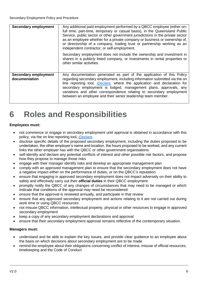| <b>Secondary employment</b>                  | Any additional paid employment performed by a QBCC employee (either on-<br>full time, part-time, temporary or casual basis), in the Queensland Public<br>Service, public sector or other government jurisdictions in the private sector<br>as an employee whether for a private company or business or ownership of,<br>or directorship of a company, trading trust or partnership working as an<br>independent contractor; or self-employment.<br>Secondary employment does not include the ownership and investment in<br>shares in a publicly listed company, or investments in rental properties or<br>other similar activities. |
|----------------------------------------------|--------------------------------------------------------------------------------------------------------------------------------------------------------------------------------------------------------------------------------------------------------------------------------------------------------------------------------------------------------------------------------------------------------------------------------------------------------------------------------------------------------------------------------------------------------------------------------------------------------------------------------------|
| <b>Secondary employment</b><br>documentation | Any documentation generated as part of the application of this Policy<br>regarding secondary employment, including information submitted via the on<br>line reporting tool, <i>iDeclare</i> , where the application and declaration for<br>secondary employment is lodged, management plans, approvals, any<br>variations and other correspondence relating to secondary employment<br>between an employee and their senior leadership team member.                                                                                                                                                                                  |

#### <span id="page-5-0"></span>**6 Roles and Responsibilities**

#### **Employees must:**

- not commence or engage in secondary employment until approval is obtained in accordance with this policy, via the on line reporting tool, *[iDeclare.](https://apps.powerapps.com/play/4d9093dc-ba40-4d37-88b2-95479f7d1155?tenantId=22f4d1cd-f345-4282-b44d-eb88de8dff91)*
- disclose specific details of the proposed secondary employment, including the duties proposed to be undertaken, the other employer's name and location, the hours proposed to be worked, and any current links the other employer has with the QBCC or other government organisations
- self-identify and declare any potential conflicts of interest and other possible risk factors, and propose how they propose to manage those risks
- engage with their manager identify risks and develop an appropriate management plan
- comply with an approved management plan to ensure that the secondary employment does not have a negative impact either on the performance of duties, or on the QBCC's reputation
- ensure that engaging in approved secondary employment does not impact adversely on their ability to safely and effectively carry out their **official duties** in their QBCC employment
- promptly notify the QBCC of any changes of circumstances that may need to be managed or which indicate that conditions of the approval may need be reconsidered
- ensure that the approval is reviewed annually, and participate in that review
- ensure that any approved secondary employment and actions relating to it are not carried out during work time or using QBCC resources
- not misuse QBCC information, intellectual property, physical or other resources to engage in approved secondary employment
- keep a copy of any secondary employment declarations and approval
- ensure that their secondary employment approval remains reflective of the contemporary situation.

#### **Managers must:**

- understand and be able to explain the key issues, and provide clear guidance to an employee about the basis on which decisions about secondary employment are to be made
- remind the employee about their obligations concerning conflict of interest, misuse of official resources, timekeeping and the Code of Conduct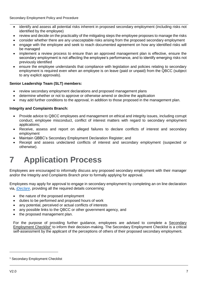- identify and assess all potential risks inherent in proposed secondary employment (including risks not identified by the employee)
- review and decide on the practicality of the mitigating steps the employee proposes to manage the risks
- consider whether there are any unacceptable risks arising from the proposed secondary employment
- engage with the employee and seek to reach documented agreement on how any identified risks will be managed
- implement a review process to ensure than an approved management plan is effective, ensure the secondary employment is not affecting the employee's performance, and to identify emerging risks not previously identified
- ensure the employee understands that compliance with legislation and policies relating to secondary employment is required even when an employee is on leave (paid or unpaid) from the QBCC (subject to any explicit approvals).

#### **Senior Leadership Team (SLT) members:**

- review secondary employment declarations and proposed management plans
- determine whether or not to approve or otherwise amend or decline the application
- may add further conditions to the approval, in addition to those proposed in the management plan.

#### **Integrity and Complaints Branch:**

- Provide advice to QBCC employees and management on ethical and integrity issues, including corrupt conduct, employee misconduct, conflict of interest matters with regard to secondary employment applications;
- Receive, assess and report on alleged failures to declare conflicts of interest and secondary employment
- Maintain QBBC's Secondary Employment Declaration Register; and
- Receipt and assess undeclared conflicts of interest and secondary employment (suspected or otherwise).

### <span id="page-6-0"></span>**7 Application Process**

Employees are encouraged to informally discuss any proposed secondary employment with their manager and/or the Integrity and Complaints Branch prior to formally applying for approval.

Employees may apply for approval to engage in secondary employment by completing an on line declaration via, *[iDeclare](https://apps.powerapps.com/play/4d9093dc-ba40-4d37-88b2-95479f7d1155?tenantId=22f4d1cd-f345-4282-b44d-eb88de8dff91)*, providing all the required details concerning:

- the nature of the proposed employment
- duties to be performed and proposed hours of work
- any potential, perceived or actual conflicts of interests
- any possible links to the QBCC or other government agency, and
- the proposed management plan.

For the purpose of providing further guidance, employees are advised to complete a [Secondary](https://qbcc.sharepoint.com/:w:/r/teams/PnC/HR/_layouts/15/Doc.aspx?sourcedoc=%7B49AF5EC8-8CD4-402F-AAEA-A2479134D85A%7D&file=Checklist%20-%20Secondary%20Employment%20Assessment.docx&action=default&mobileredirect=true&DefaultItemOpen=1&cid=7fd8ea8d-d7fb-4f00-ae31-bc4fdafb97aa)  [Employment Checklist](https://qbcc.sharepoint.com/:w:/r/teams/PnC/HR/_layouts/15/Doc.aspx?sourcedoc=%7B49AF5EC8-8CD4-402F-AAEA-A2479134D85A%7D&file=Checklist%20-%20Secondary%20Employment%20Assessment.docx&action=default&mobileredirect=true&DefaultItemOpen=1&cid=7fd8ea8d-d7fb-4f00-ae31-bc4fdafb97aa)<sup>1</sup> to inform their decision-making. The Secondary Employment Checklist is a critical self-assessment by the applicant of the perceptions of others of their proposed secondary employment.

<sup>1</sup> Secondary Employment Checklist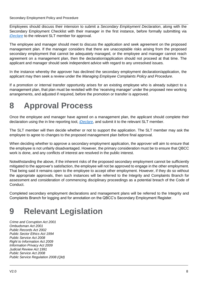Secondary Employment Policy and Procedure

Employees should discuss their intension to submit a *Secondary Employment Declaration*, along with the Secondary Employment Checklist with their manager in the first instance, before formally submitting via *[iDeclare](https://apps.powerapps.com/play/4d9093dc-ba40-4d37-88b2-95479f7d1155?tenantId=22f4d1cd-f345-4282-b44d-eb88de8dff91)* to the relevant SLT member for approval.

The employee and manager should meet to discuss the application and seek agreement on the proposed management plan. If the manager considers that there are unacceptable risks arising from the proposed secondary employment that cannot be adequately managed, or the employee and manager cannot reach agreement on a management plan, then the declaration/application should not proceed at that time. The applicant and manager should seek independent advice with regard to any unresolved issues.

In the instance whereby the approver has declined the secondary employment declaration/application, the applicant may then seek a review under the *Managing Employee Complaints Policy and Procedure*.

If a promotion or internal transfer opportunity arises for an existing employee who is already subject to a management plan, that plan must be revisited with the 'receiving manager' under the proposed new working arrangements, and adjusted if required, before the promotion or transfer is approved.

### <span id="page-7-0"></span>**8 Approval Process**

Once the employee and manager have agreed on a management plan, the applicant should complete their declaration using the in line reporting tool, *[iDeclare](https://apps.powerapps.com/play/4d9093dc-ba40-4d37-88b2-95479f7d1155?tenantId=22f4d1cd-f345-4282-b44d-eb88de8dff91)*, and submit it to the relevant SLT member.

The SLT member will then decide whether or not to support the application. The SLT member may ask the employee to agree to changes to the proposed management plan before final approval.

When deciding whether to approve a secondary employment application, the approver will aim to ensure that the employee is not unfairly disadvantaged. However, the primary consideration must be to ensure that QBCC work is done, and any conflicts of interest are resolved in the public interest.

Notwithstanding the above, if the inherent risks of the proposed secondary employment cannot be sufficiently mitigated to the approver's satisfaction, the employee will not be approved to engage in the other employment. That being said it remains open to the employee to accept other employment. However, if they do so without the appropriate approvals, then such instances will be referred to the Integrity and Complaints Branch for assessment and consideration of commencing disciplinary proceedings as a potential breach of the Code of Conduct.

Completed secondary employment declarations and management plans will be referred to the Integrity and Complaints Branch for logging and for annotation on the QBCC's Secondary Employment Register.

# <span id="page-7-1"></span>**9 Relevant Legislation**

*Crime and Corruption Act 2001 Ombudsman Act 2001 Public Records Act 2002 Public Sector Ethics Act 1994 Public Service Act 2008 Right to Information Act 2009 Information Privacy Act 2009 Judicial Review Act 1991 Public Service Act 2008 Public Service Regulation 2008 (Qld)*